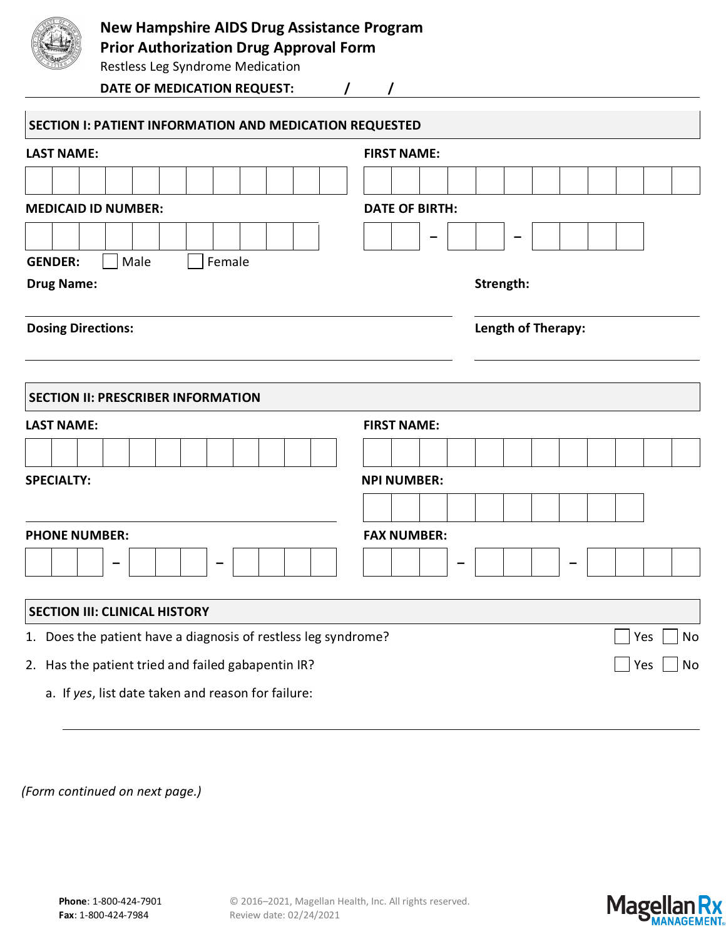

## **New Hampshire AIDS Drug Assistance Program**

**Prior Authorization Drug Approval Form**

Restless Leg Syndrome Medication

**DATE OF MEDICATION REQUEST: / /**

| SECTION I: PATIENT INFORMATION AND MEDICATION REQUESTED        |                           |  |  |  |  |  |  |  |  |  |  |  |  |  |
|----------------------------------------------------------------|---------------------------|--|--|--|--|--|--|--|--|--|--|--|--|--|
| <b>LAST NAME:</b>                                              | <b>FIRST NAME:</b>        |  |  |  |  |  |  |  |  |  |  |  |  |  |
|                                                                |                           |  |  |  |  |  |  |  |  |  |  |  |  |  |
| <b>MEDICAID ID NUMBER:</b>                                     | <b>DATE OF BIRTH:</b>     |  |  |  |  |  |  |  |  |  |  |  |  |  |
|                                                                |                           |  |  |  |  |  |  |  |  |  |  |  |  |  |
| Male<br>Female<br><b>GENDER:</b>                               |                           |  |  |  |  |  |  |  |  |  |  |  |  |  |
| <b>Drug Name:</b>                                              | Strength:                 |  |  |  |  |  |  |  |  |  |  |  |  |  |
| <b>Dosing Directions:</b>                                      | <b>Length of Therapy:</b> |  |  |  |  |  |  |  |  |  |  |  |  |  |
| <b>SECTION II: PRESCRIBER INFORMATION</b>                      |                           |  |  |  |  |  |  |  |  |  |  |  |  |  |
| <b>LAST NAME:</b>                                              | <b>FIRST NAME:</b>        |  |  |  |  |  |  |  |  |  |  |  |  |  |
|                                                                |                           |  |  |  |  |  |  |  |  |  |  |  |  |  |
| <b>SPECIALTY:</b>                                              | <b>NPI NUMBER:</b>        |  |  |  |  |  |  |  |  |  |  |  |  |  |
|                                                                |                           |  |  |  |  |  |  |  |  |  |  |  |  |  |
| <b>PHONE NUMBER:</b>                                           | <b>FAX NUMBER:</b>        |  |  |  |  |  |  |  |  |  |  |  |  |  |
|                                                                |                           |  |  |  |  |  |  |  |  |  |  |  |  |  |
| <b>SECTION III: CLINICAL HISTORY</b>                           |                           |  |  |  |  |  |  |  |  |  |  |  |  |  |
| 1. Does the patient have a diagnosis of restless leg syndrome? | Yes<br>No                 |  |  |  |  |  |  |  |  |  |  |  |  |  |
| 2. Has the patient tried and failed gabapentin IR?             | Yes<br>No                 |  |  |  |  |  |  |  |  |  |  |  |  |  |
| a. If yes, list date taken and reason for failure:             |                           |  |  |  |  |  |  |  |  |  |  |  |  |  |

*(Form continued on next page.)*